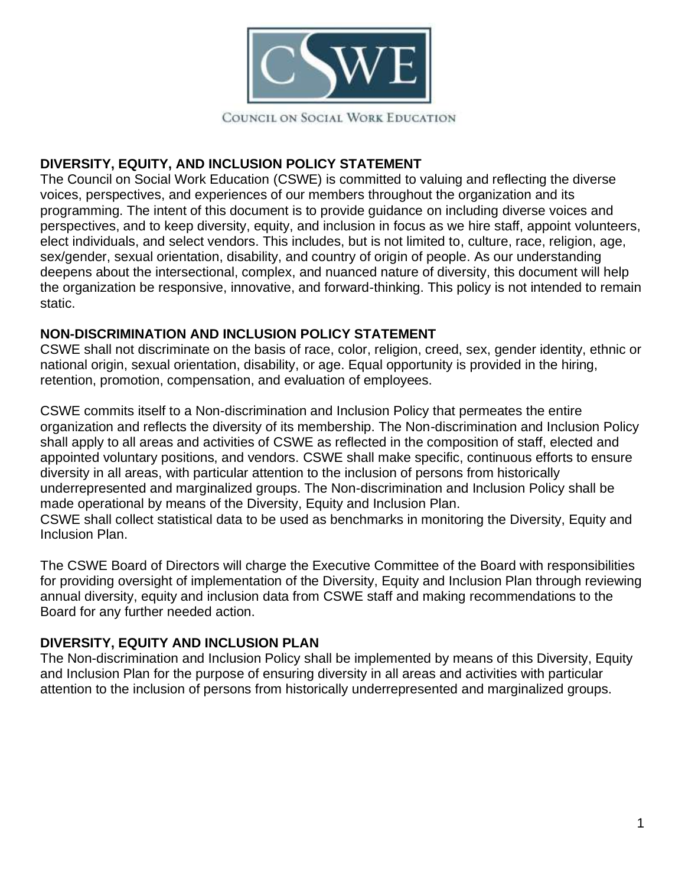

## **DIVERSITY, EQUITY, AND INCLUSION POLICY STATEMENT**

The Council on Social Work Education (CSWE) is committed to valuing and reflecting the diverse voices, perspectives, and experiences of our members throughout the organization and its programming. The intent of this document is to provide guidance on including diverse voices and perspectives, and to keep diversity, equity, and inclusion in focus as we hire staff, appoint volunteers, elect individuals, and select vendors. This includes, but is not limited to, culture, race, religion, age, sex/gender, sexual orientation, disability, and country of origin of people. As our understanding deepens about the intersectional, complex, and nuanced nature of diversity, this document will help the organization be responsive, innovative, and forward-thinking. This policy is not intended to remain static.

### **NON-DISCRIMINATION AND INCLUSION POLICY STATEMENT**

CSWE shall not discriminate on the basis of race, color, religion, creed, sex, gender identity, ethnic or national origin, sexual orientation, disability, or age. Equal opportunity is provided in the hiring, retention, promotion, compensation, and evaluation of employees.

CSWE commits itself to a Non-discrimination and Inclusion Policy that permeates the entire organization and reflects the diversity of its membership. The Non-discrimination and Inclusion Policy shall apply to all areas and activities of CSWE as reflected in the composition of staff, elected and appointed voluntary positions, and vendors. CSWE shall make specific, continuous efforts to ensure diversity in all areas, with particular attention to the inclusion of persons from historically underrepresented and marginalized groups. The Non-discrimination and Inclusion Policy shall be made operational by means of the Diversity, Equity and Inclusion Plan. CSWE shall collect statistical data to be used as benchmarks in monitoring the Diversity, Equity and Inclusion Plan.

The CSWE Board of Directors will charge the Executive Committee of the Board with responsibilities for providing oversight of implementation of the Diversity, Equity and Inclusion Plan through reviewing annual diversity, equity and inclusion data from CSWE staff and making recommendations to the Board for any further needed action.

# **DIVERSITY, EQUITY AND INCLUSION PLAN**

The Non-discrimination and Inclusion Policy shall be implemented by means of this Diversity, Equity and Inclusion Plan for the purpose of ensuring diversity in all areas and activities with particular attention to the inclusion of persons from historically underrepresented and marginalized groups.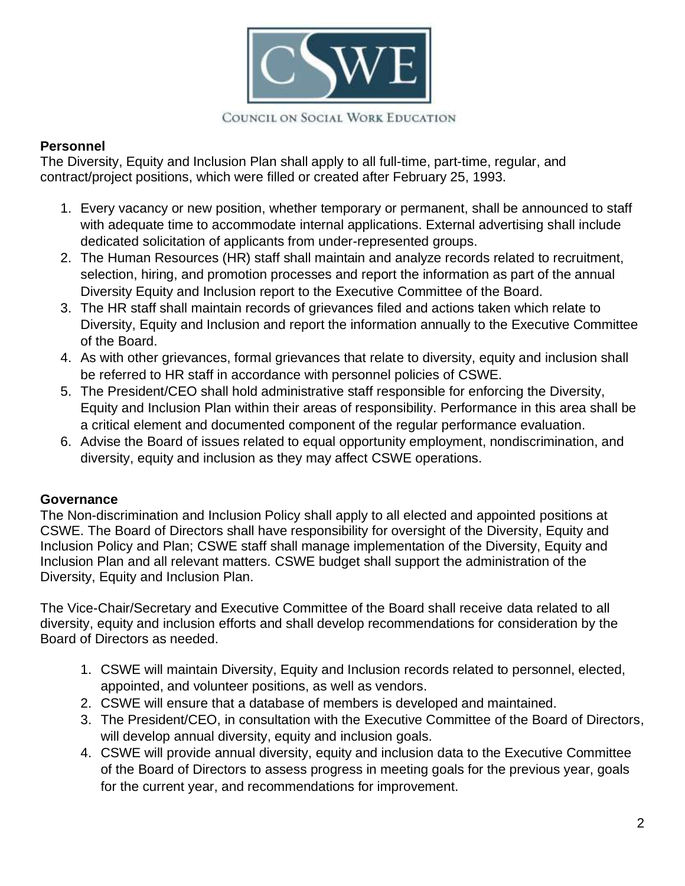

### COUNCIL ON SOCIAL WORK EDUCATION

### **Personnel**

The Diversity, Equity and Inclusion Plan shall apply to all full-time, part-time, regular, and contract/project positions, which were filled or created after February 25, 1993.

- 1. Every vacancy or new position, whether temporary or permanent, shall be announced to staff with adequate time to accommodate internal applications. External advertising shall include dedicated solicitation of applicants from under-represented groups.
- 2. The Human Resources (HR) staff shall maintain and analyze records related to recruitment, selection, hiring, and promotion processes and report the information as part of the annual Diversity Equity and Inclusion report to the Executive Committee of the Board.
- 3. The HR staff shall maintain records of grievances filed and actions taken which relate to Diversity, Equity and Inclusion and report the information annually to the Executive Committee of the Board.
- 4. As with other grievances, formal grievances that relate to diversity, equity and inclusion shall be referred to HR staff in accordance with personnel policies of CSWE.
- 5. The President/CEO shall hold administrative staff responsible for enforcing the Diversity, Equity and Inclusion Plan within their areas of responsibility. Performance in this area shall be a critical element and documented component of the regular performance evaluation.
- 6. Advise the Board of issues related to equal opportunity employment, nondiscrimination, and diversity, equity and inclusion as they may affect CSWE operations.

#### **Governance**

The Non-discrimination and Inclusion Policy shall apply to all elected and appointed positions at CSWE. The Board of Directors shall have responsibility for oversight of the Diversity, Equity and Inclusion Policy and Plan; CSWE staff shall manage implementation of the Diversity, Equity and Inclusion Plan and all relevant matters. CSWE budget shall support the administration of the Diversity, Equity and Inclusion Plan.

The Vice-Chair/Secretary and Executive Committee of the Board shall receive data related to all diversity, equity and inclusion efforts and shall develop recommendations for consideration by the Board of Directors as needed.

- 1. CSWE will maintain Diversity, Equity and Inclusion records related to personnel, elected, appointed, and volunteer positions, as well as vendors.
- 2. CSWE will ensure that a database of members is developed and maintained.
- 3. The President/CEO, in consultation with the Executive Committee of the Board of Directors, will develop annual diversity, equity and inclusion goals.
- 4. CSWE will provide annual diversity, equity and inclusion data to the Executive Committee of the Board of Directors to assess progress in meeting goals for the previous year, goals for the current year, and recommendations for improvement.